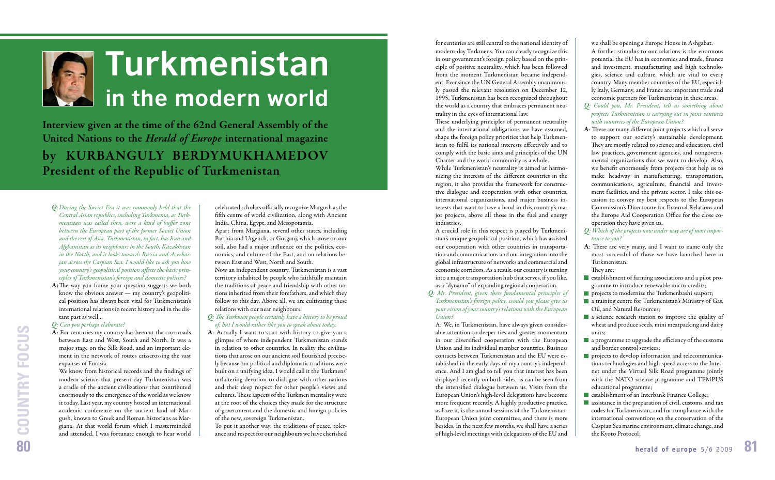for centuries are still central to the national identity of modern-day Turkmens. You can clearly recognize this in our government's foreign policy based on the principle of positive neutrality, which has been followed from the moment Turkmenistan became independent. Ever since the UN General Assembly unanimously passed the relevant resolution on December 12, 1995, Turkmenistan has been recognized throughout the world as a country that embraces permanent neutrality in the eyes of international law.

These underlying principles of permanent neutrality and the international obligations we have assumed, shape the foreign policy priorities that help Turkmenistan to fulfil its national interests effectively and to comply with the basic aims and principles of the UN Charter and the world community as a whole.

While Turkmenistan's neutrality is aimed at harmonizing the interests of the different countries in the region, it also provides the framework for constructive dialogue and cooperation with other countries, international organizations, and major business interests that want to have a hand in this country's major projects, above all those in the fuel and energy industries.

A crucial role in this respect is played by Turkmenistan's unique geopolitical position, which has assisted our cooperation with other countries in transportation and communications and our integration into the global infrastructure of networks and commercial and economic corridors. As a result, our country is turning into a major transportation hub that serves, if you like, as a "dynamo" of expanding regional cooperation.

*Q: Mr. President, given these fundamental principles of Turkmenistan's foreign policy, would you please give us your vision of your country's relations with the European Union?*

A: We, in Turkmenistan, have always given considerable attention to deeper ties and greater momentum in our diversified cooperation with the European Union and its individual member countries. Business contacts between Turkmenistan and the EU were established in the early days of my country's independence. And I am glad to tell you that interest has been displayed recently on both sides, as can be seen from the intensified dialogue between us. Visits from the European Union's high-level delegations have become more frequent recently. A highly productive practice, as I see it, is the annual sessions of the Turkmenistan-European Union joint committee, and there is more besides. In the next few months, we shall have a series of high-level meetings with delegations of the EU and

we shall be opening a Europe House in Ashgabat. A further stimulus to our relations is the enormous potential the EU has in economics and trade, finance and investment, manufacturing and high technologies, science and culture, which are vital to every country. Many member countries of the EU, especially Italy, Germany, and France are important trade and economic partners for Turkmenistan in these areas.

We know from historical records and the findings of modern science that present-day Turkmenistan was a cradle of the ancient civilizations that contributed enormously to the emergence of the world as we know it today. Last year, my country hosted an international academic conference on the ancient land of Margush, known to Greek and Roman historians as Margiana. At that world forum which I masterminded and attended, I was fortunate enough to hear world

celebrated scholars officially recognize Margush as the fifth centre of world civilization, along with Ancient India, China, Egypt, and Mesopotamia.

- **Q***: The Turkmen people certainly have a history to be proud of, but I would rather like you to speak about today.*
- **A**: Actually I want to start with history to give you a glimpse of where independent Turkmenistan stands in relation to other countries. In reality the civilizations that arose on our ancient soil flourished precisely because our political and diplomatic traditions were built on a unifying idea. I would call it the Turkmens' unfaltering devotion to dialogue with other nations and their deep respect for other people's views and cultures. These aspects of the Turkmen mentality were at the root of the choices they made for the structure of government and the domestic and foreign policies of the new, sovereign Turkmenistan.
- *Q: Could you, Mr. President, tell us something about projects Turkmenistan is carrying out in joint ventures with countries of the European Union?*
- A: There are many different joint projects which all serve to support our society's sustainable development. They are mostly related to science and education, civil law practices, government agencies, and nongovernmental organizations that we want to develop. Also, we benefit enormously from projects that help us to make headway in manufacturing, transportation, communications, agriculture, financial and investment facilities, and the private sector. I take this occasion to convey my best respects to the European Commission's Directorate for External Relations and the Europe Aid Cooperation Office for the close cooperation they have given us.
- *Q: Which of the projects now under way are of most importance to you?*
- A: There are very many, and I want to name only the most successful of those we have launched here in Turkmenistan.
- They are:
- $\blacksquare$  establishment of farming associations and a pilot programme to introduce renewable micro-credits;
- **projects to modernize the Turkmenbashi seaport;**
- **a** a training centre for Turkmenistan's Ministry of Gas, Oil, and Natural Resources;
- **a** science research station to improve the quality of wheat and produce seeds, mini meatpacking and dairy units;
- $\blacksquare$  a programme to upgrade the efficiency of the customs and border control services;
- **projects to develop information and telecommunica**tions technologies and high-speed access to the Internet under the Virtual Silk Road programme jointly with the NATO science programme and TEMPUS educational programme;
- establishment of an Interbank Finance College;
- **a** assistance in the preparation of civil, customs, and tax codes for Turkmenistan, and for compliance with the international conventions on the conservation of the Caspian Sea marine environment, climate change, and the Kyoto Protocol;
- *Q: During the Soviet Era it was commonly held that the Central Asian republics, including Turkmenia, as Turkmenistan was called then, were a kind of buffer zone between the European part of the former Soviet Union and the rest of Asia. Turkmenistan, in fact, has Iran and Afghanistan as its neighbours in the South, Kazakhstan in the North, and it looks towards Russia and Azerbaijan across the Caspian Sea. I would like to ask you how your country's geopolitical position affects the basic principles of Turkmenistan's foreign and domestic policies?*
- A: The way you frame your question suggests we both know the obvious answer — my country's geopolitical position has always been vital for Turkmenistan's international relations in recent history and in the distant past as well…

## *Q: Can you perhaps elaborate?*

**A**: For centuries my country has been at the crossroads between East and West, South and North. It was a major stage on the Silk Road, and an important element in the network of routes crisscrossing the vast expanses of Eurasia.

Apart from Margiana, several other states, including Parthia and Urgench, or Gorganj, which arose on our soil, also had a major influence on the politics, economics, and culture of the East, and on relations between East and West, North and South.

Now an independent country, Turkmenistan is a vast territory inhabited by people who faithfully maintain the traditions of peace and friendship with other nations inherited from their forefathers, and which they follow to this day. Above all, we are cultivating these relations with our near neighbours.

To put it another way, the traditions of peace, tolerance and respect for our neighbours we have cherished

# **Turkmenistan in the modern world**

**Interview given at the time of the 62nd General Assembly of the United Nations to the** *Herald of Europe* **international magazine by KURBANGULY BERDYMUKHAMEDOV President of the Republic of Turkmenistan**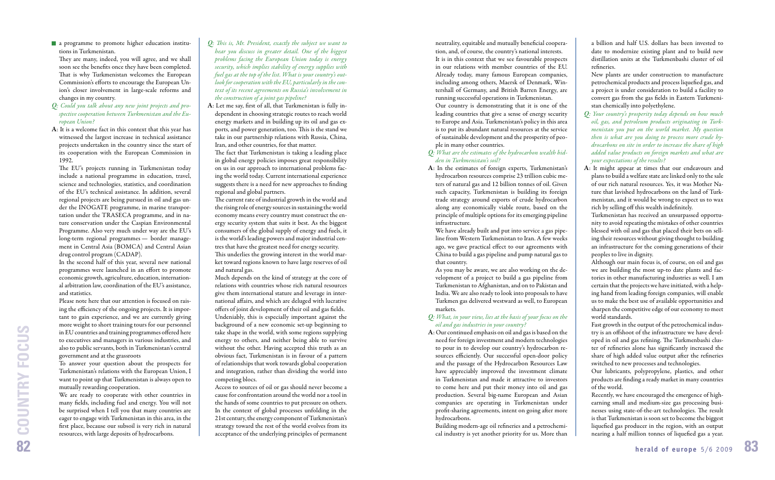neutrality, equitable and mutually beneficial cooperation, and, of course, the country's national interests. It is in this context that we see favourable prospects in our relations with member countries of the EU. Already today, many famous European companies, including among others, Maersk of Denmark, Wintershall of Germany, and British Barren Energy, are running successful operations in Turkmenistan. Our country is demonstrating that it is one of the leading countries that give a sense of energy security to Europe and Asia. Turkmenistan's policy in this area is to put its abundant natural resources at the service of sustainable development and the prosperity of people in many other countries.

## *Q: What are the estimates of the hydrocarbon wealth hidden in Turkmenistan's soil?*

**A**: In the estimates of foreign experts, Turkmenistan's hydrocarbon resources comprise 23 trillion cubic meters of natural gas and 12 billion tonnes of oil. Given such capacity, Turkmenistan is building its foreign trade strategy around exports of crude hydrocarbon along any economically viable route, based on the principle of multiple options for its emerging pipeline infrastructure.

Building modern-age oil refineries and a petrochemical industry is yet another priority for us. More than

a billion and half U.S. dollars has been invested to date to modernize existing plant and to build new distillation units at the Turkmenbashi cluster of oil refineries.

We have already built and put into service a gas pipeline from Western Turkmenistan to Iran. A few weeks ago, we gave practical effect to our agreements with China to build a gas pipeline and pump natural gas to that country.

- *Q: Your country's prosperity today depends on how much oil, gas, and petroleum products originating in Turkmenistan you put on the world market. My question then is what are you doing to process more crude hydrocarbons on site in order to increase the share of high added value products on foreign markets and what are your expectations of the results?*
- **A**: It might appear at times that our endeavours and plans to build a welfare state are linked only to the sale of our rich natural resources. Yes, it was Mother Nature that lavished hydrocarbons on the land of Turkmenistan, and it would be wrong to expect us to wax rich by selling off this wealth indefinitely.

As you may be aware, we are also working on the development of a project to build a gas pipeline from Turkmenistan to Afghanistan, and on to Pakistan and India. We are also ready to look into proposals to have Turkmen gas delivered westward as well, to European markets.

## *Q: What, in your view, lies at the basis of your focus on the oil and gas industries in your country?*

**A**: Our continued emphasis on oil and gas is based on the need for foreign investment and modern technologies to pour in to develop our country's hydrocarbon resources efficiently. Our successful open-door policy and the passage of the Hydrocarbon Resources Law have appreciably improved the investment climate in Turkmenistan and made it attractive to investors to come here and put their money into oil and gas production. Several big-name European and Asian companies are operating in Turkmenistan under profit-sharing agreements, intent on going after more hydrocarbons.

Recently, we have encouraged the emergence of highearning small and medium-size gas processing businesses using state-of-the-art technologies. The result is that Turkmenistan is soon set to become the biggest liquefied gas producer in the region, with an output nearing a half million tonnes of liquefied gas a year.

They are many, indeed, you will agree, and we shall soon see the benefits once they have been completed. That is why Turkmenistan welcomes the European Commission's efforts to encourage the European Union's closer involvement in large-scale reforms and changes in my country.

New plants are under construction to manufacture petrochemical products and process liquefied gas, and a project is under consideration to build a facility to convert gas from the gas fields in Eastern Turkmenistan chemically into polyethylene.

The EU's projects running in Turkmenistan today include a national programme in education, travel, science and technologies, statistics, and coordination of the EU's technical assistance. In addition, several regional projects are being pursued in oil and gas under the INOGATE programme, in marine transportation under the TRASECA programme, and in nature conservation under the Caspian Environmental Programme. Also very much under way are the EU's long-term regional programmes — border management in Central Asia (BOMCA) and Central Asian drug control program (CADAP).

We are ready to cooperate with other countries in many fields, including fuel and energy. You will not be surprised when I tell you that many countries are eager to engage with Turkmenistan in this area, in the first place, because our subsoil is very rich in natural resources, with large deposits of hydrocarbons.

Turkmenistan has received an unsurpassed opportunity to avoid repeating the mistakes of other countries blessed with oil and gas that placed their bets on selling their resources without giving thought to building an infrastructure for the coming generations of their peoples to live in dignity.

Although our main focus is, of course, on oil and gas we are building the most up-to date plants and factories in other manufacturing industries as well. I am certain that the projects we have initiated, with a helping hand from leading foreign companies, will enable us to make the best use of available opportunities and sharpen the competitive edge of our economy to meet world standards.

The fact that Turkmenistan is taking a leading place in global energy policies imposes great responsibility on us in our approach to international problems facing the world today. Current international experience suggests there is a need for new approaches to finding regional and global partners.

> Fast growth in the output of the petrochemical industry is an offshoot of the infrastructure we have developed in oil and gas refining. The Turkmenbashi cluster of refineries alone has significantly increased the share of high added value output after the refineries switched to new processes and technologies.

The current rate of industrial growth in the world and the rising role of energy sources in sustaining the world economy means every country must construct the energy security system that suits it best. As the biggest consumers of the global supply of energy and fuels, it is the world's leading powers and major industrial centres that have the greatest need for energy security. This underlies the growing interest in the world market toward regions known to have large reserves of oil and natural gas.

> Our lubricants, polypropylene, plastics, and other products are finding a ready market in many countries of the world.

 a programme to promote higher education institutions in Turkmenistan.

- *Q: Could you talk about any new joint projects and prospective cooperation between Turkmenistan and the European Union?*
- **A**: It is a welcome fact in this context that this year has witnessed the largest increase in technical assistance projects undertaken in the country since the start of its cooperation with the European Commission in 1992.

In the second half of this year, several new national programmes were launched in an effort to promote economic growth, agriculture, education, international arbitration law, coordination of the EU's assistance, and statistics.

Please note here that our attention is focused on raising the efficiency of the ongoing projects. It is important to gain experience, and we are currently giving more weight to short training tours for our personnel in EU countries and training programmes offered here to executives and managers in various industries, and also to public servants, both in Turkmenistan's central government and at the grassroots

To answer your question about the prospects for Turkmenistan's relations with the European Union, I want to point up that Turkmenistan is always open to mutually rewarding cooperation.

- *Q: Th is is, Mr. President, exactly the subject we want to hear you discuss in greater detail. One of the biggest problems facing the European Union today is energy security, which implies stability of energy supplies with fuel gas at the top of the list. What is your country's outlook for cooperation with the EU, particularly in the context of its recent agreements on Russia's involvement in the construction of a joint gas pipeline?*
- A: Let me say, first of all, that Turkmenistan is fully independent in choosing strategic routes to reach world energy markets and in building up its oil and gas exports, and power generation, too. This is the stand we take in our partnership relations with Russia, China, Iran, and other countries, for that matter.

Much depends on the kind of strategy at the core of relations with countries whose rich natural resources give them international stature and leverage in international affairs, and which are deluged with lucrative offers of joint development of their oil and gas fields. Undeniably, this is especially important against the background of a new economic set-up beginning to take shape in the world, with some regions supplying energy to others, and neither being able to survive without the other. Having accepted this truth as an obvious fact, Turkmenistan is in favour of a pattern of relationships that work towards global cooperation and integration, rather than dividing the world into competing blocs.

Access to sources of oil or gas should never become a cause for confrontation around the world nor a tool in the hands of some countries to put pressure on others. In the context of global processes unfolding in the 21st century, the energy component of Turkmenistan's strategy toward the rest of the world evolves from its acceptance of the underlying principles of permanent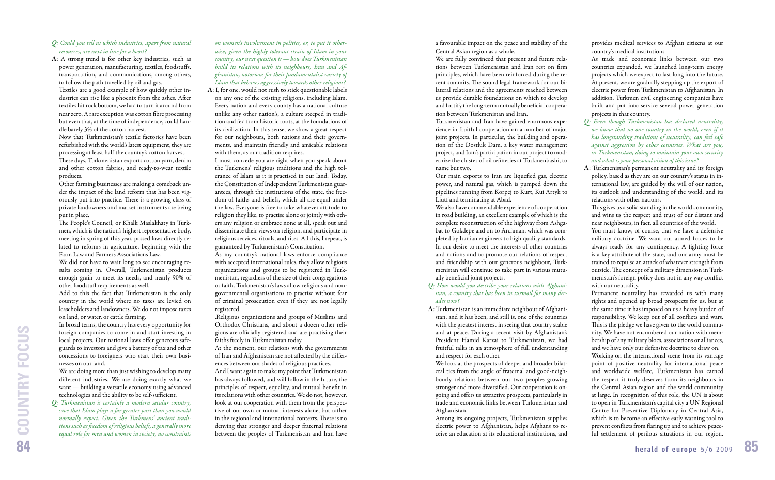a favourable impact on the peace and stability of the Central Asian region as a whole.

We are fully convinced that present and future relations between Turkmenistan and Iran rest on firm principles, which have been reinforced during the recent summits. The sound legal framework for our bilateral relations and the agreements reached between us provide durable foundations on which to develop and fortify the long-term mutually beneficial cooperation between Turkmenistan and Iran.

Our main exports to Iran are liquefied gas, electric power, and natural gas, which is pumped down the pipelines running from Korpej to Kurt, Kui Artyk to Liutf and terminating at Abad.

We also have commendable experience of cooperation in road building, an excellent example of which is the complete reconstruction of the highway from Ashgabat to Gokdepe and on to Archman, which was completed by Iranian engineers to high quality standards. In our desire to meet the interests of other countries and nations and to promote our relations of respect and friendship with our generous neighbour, Turkmenistan will continue to take part in various mutually beneficial joint projects.

Turkmenistan and Iran have gained enormous experience in fruitful cooperation on a number of major joint projects. In particular, the building and operation of the Dostluk Dam, a key water management project, and Iran's participation in our project to modernize the cluster of oil refineries at Turkmenbashi, to name but two.

- *Q: How would you describe your relations with Afghanistan, a country that has been in turmoil for many decades now?*
- **A**: Turkmenistan is an immediate neighbour of Afghanistan, and it has been, and still is, one of the countries with the greatest interest in seeing that country stable and at peace. During a recent visit by Afghanistan's President Hamid Karzai to Turkmenistan, we had fruitful talks in an atmosphere of full understanding and respect for each other.

This gives us a solid standing in the world community, and wins us the respect and trust of our distant and near neighbours, in fact, all countries of the world.

We look at the prospects of deeper and broader bilateral ties from the angle of fraternal and good-neighbourly relations between our two peoples growing stronger and more diversified. Our cooperation is ongoing and offers us attractive prospects, particularly in trade and economic links between Turkmenistan and Afghanistan.

Among its ongoing projects, Turkmenistan supplies electric power to Afghanistan, helps Afghans to receive an education at its educational institutions, and

provides medical services to Afghan citizens at our country's medical institutions.

# **Q***: Could you tell us which industries, apart from natural resources, are next in line for a boost?*

As trade and economic links between our two countries expanded, we launched long-term energy projects which we expect to last long into the future. At present, we are gradually stepping up the export of electric power from Turkmenistan to Afghanistan. In addition, Turkmen civil engineering companies have built and put into service several power generation projects in that country.

The People's Council, or Khalk Maslakhaty in Turkmen, which is the nation's highest representative body, meeting in spring of this year, passed laws directly related to reforms in agriculture, beginning with the Farm Law and Farmers Associations Law.

- *Q: Even though Turkmenistan has declared neutrality, we know that no one country in the world, even if it has longstanding traditions of neutrality, can feel safe against aggression by other countries. What are you, in Turkmenistan, doing to maintain your own security and what is your personal vision of this issue?*
- **A**: Turkmenistan's permanent neutrality and its foreign policy, based as they are on our country's status in international law, are guided by the will of our nation, its outlook and understanding of the world, and its relations with other nations.

We are doing more than just wishing to develop many different industries. We are doing exactly what we want — building a versatile economy using advanced technologies and the ability to be self-sufficient.

You must know, of course, that we have a defensive military doctrine. We want our armed forces to be always ready for any contingency. A fighting force is a key attribute of the state, and our army must be trained to repulse an attack of whatever strength from outside. The concept of a military dimension in Turkmenistan's foreign policy does not in any way conflict with our neutrality.

Permanent neutrality has rewarded us with many rights and opened up broad prospects for us, but at the same time it has imposed on us a heavy burden of responsibility. We keep out of all conflicts and wars. This is the pledge we have given to the world community. We have not encumbered our nation with membership of any military blocs, associations or alliances, and we have only our defensive doctrine to draw on.

Working on the international scene from its vantage point of positive neutrality for international peace and worldwide welfare, Turkmenistan has earned the respect it truly deserves from its neighbours in the Central Asian region and the world community at large. In recognition of this role, the UN is about to open in Turkmenistan's capital city a UN Regional Centre for Preventive Diplomacy in Central Asia, which is to become an effective early warning tool to prevent conflicts from flaring up and to achieve peaceful settlement of perilous situations in our region.

**A**: A strong trend is for other key industries, such as power generation, manufacturing, textiles, foodstuffs, transportation, and communications, among others, to follow the path travelled by oil and gas.

Textiles are a good example of how quickly other industries can rise like a phoenix from the ashes. After textiles hit rock bottom, we had to turn it around from near zero. A rare exception was cotton fibre processing but even that, at the time of independence, could handle barely 3% of the cotton harvest.

Now that Turkmenistan's textile factories have been refurbished with the world's latest equipment, they are processing at least half the country's cotton harvest. These days, Turkmenistan exports cotton yarn, denim and other cotton fabrics, and ready-to-wear textile products.

Other farming businesses are making a comeback under the impact of the land reform that has been vigorously put into practice. There is a growing class of private landowners and market instruments are being put in place.

We did not have to wait long to see encouraging results coming in. Overall, Turkmenistan produces enough grain to meet its needs, and nearly 90% of other foodstuff requirements as well.

Add to this the fact that Turkmenistan is the only country in the world where no taxes are levied on leaseholders and landowners. We do not impose taxes on land, or water, or cattle farming.

In broad terms, the country has every opportunity for foreign companies to come in and start investing in local projects. Our national laws offer generous safeguards to investors and give a battery of tax and other concessions to foreigners who start their own businesses on our land.

*Q: Turkmenistan is certainly a modern secular country, save that Islam plays a far greater part than you would normally expect. Given the Turkmens' ancient traditions such as fr eedom of religious beliefs, a generally more equal role for men and women in society, no constraints*  *on women's involvement in politics, or, to put it otherwise, given the highly tolerant strain of Islam in your country, our next question is — how does Turkmenistan build its relations with its neighbours, Iran and Afghanistan, notorious for their fundamentalist variety of Islam that behaves aggressively towards other religions?*

**A**: I, for one, would not rush to stick questionable labels on any one of the existing religions, including Islam. Every nation and every county has a national culture unlike any other nation's, a culture steeped in tradition and fed from historic roots, at the foundations of its civilization. In this sense, we show a great respect for our neighbours, both nations and their governments, and maintain friendly and amicable relations with them, as our tradition requires.

I must concede you are right when you speak about the Turkmens' religious traditions and the high tolerance of Islam as it is practised in our land. Today, the Constitution of Independent Turkmenistan guarantees, through the institutions of the state, the freedom of faiths and beliefs, which all are equal under the law. Everyone is free to take whatever attitude to religion they like, to practise alone or jointly with others any religion or embrace none at all, speak out and disseminate their views on religion, and participate in religious services, rituals, and rites. All this, I repeat, is guaranteed by Turkmenistan's Constitution.

As my country's national laws enforce compliance with accepted international rules, they allow religious organizations and groups to be registered in Turkmenistan, regardless of the size of their congregations or faith. Turkmenistan's laws allow religious and nongovernmental organisations to practise without fear of criminal prosecution even if they are not legally registered.

.Religious organizations and groups of Muslims and Orthodox Christians, and about a dozen other religions are officially registered and are practising their faiths freely in Turkmenistan today.

At the moment, our relations with the governments of Iran and Afghanistan are not affected by the differences between our shades of religious practices.

And I want again to make my point that Turkmenistan has always followed, and will follow in the future, the principles of respect, equality, and mutual benefit in its relations with other countries. We do not, however, look at our cooperation with them from the perspective of our own or mutual interests alone, but rather in the regional and international contexts. There is no denying that stronger and deeper fraternal relations between the peoples of Turkmenistan and Iran have